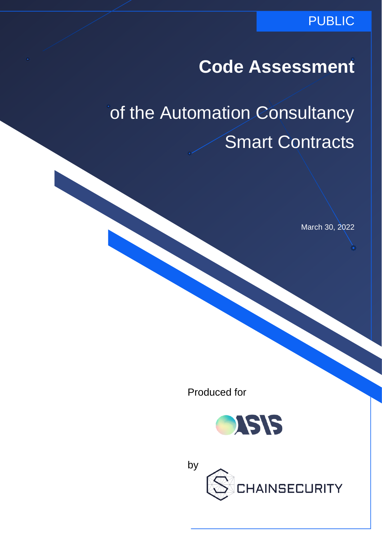### PUBLIC

## **Code Assessment**

# of the Automation Consultancy Smart Contracts

March 30, 2022

Produced for



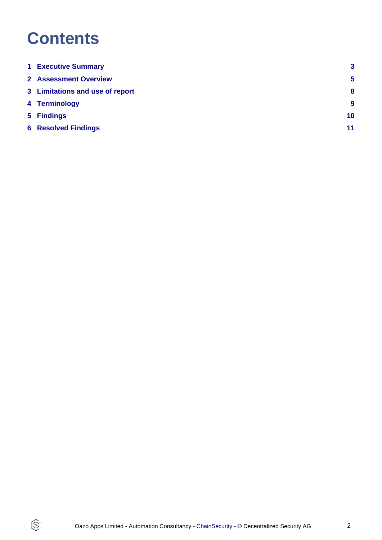## **Contents**

 $\circledS$ 

| <b>1 Executive Summary</b>      | $\mathbf{3}$     |
|---------------------------------|------------------|
| <b>2</b> Assessment Overview    | 5                |
| 3 Limitations and use of report | 8                |
| 4 Terminology                   | $\boldsymbol{9}$ |
| 5 Findings                      | 10               |
| <b>6 Resolved Findings</b>      | 11               |
|                                 |                  |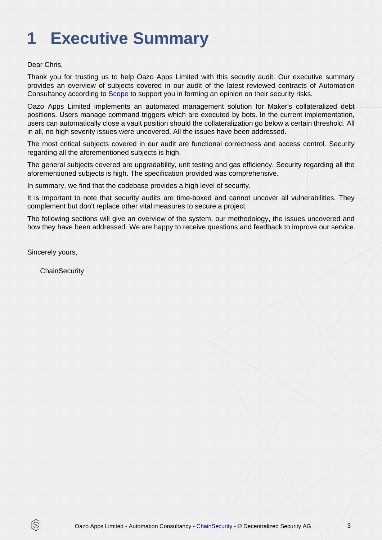# <span id="page-2-0"></span>**1 Executive Summary**

Dear Chris,

Thank you for trusting us to help Oazo Apps Limited with this security audit. Our executive summary provides an overview of subjects covered in our audit of the latest reviewed contracts of Automation Consultancy according to [Scope](#page-4-1) to support you in forming an opinion on their security risks.

Oazo Apps Limited implements an automated management solution for Maker's collateralized debt positions. Users manage command triggers which are executed by bots. In the current implementation, users can automatically close a vault position should the collateralization go below a certain threshold. All in all, no high severity issues were uncovered. All the issues have been addressed.

The most critical subjects covered in our audit are functional correctness and access control. Security regarding all the aforementioned subjects is high.

The general subjects covered are upgradability, unit testing and gas efficiency. Security regarding all the aforementioned subjects is high. The specification provided was comprehensive.

In summary, we find that the codebase provides a high level of security.

It is important to note that security audits are time-boxed and cannot uncover all vulnerabilities. They complement but don't replace other vital measures to secure a project.

The following sections will give an overview of the system, our methodology, the issues uncovered and how they have been addressed. We are happy to receive questions and feedback to improve our service.

Sincerely yours,

ß

**ChainSecurity**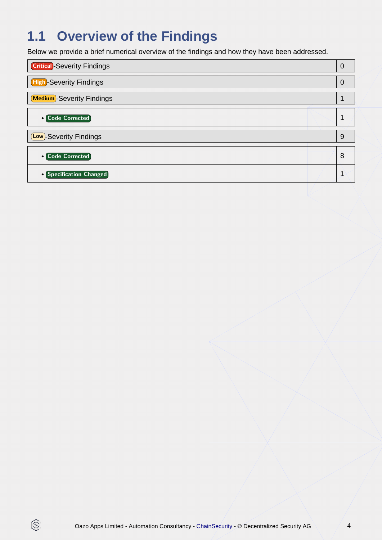## **1.1 Overview of the Findings**

Below we provide a brief numerical overview of the findings and how they have been addressed.

| <b>Critical</b> -Severity Findings | $\overline{0}$ |
|------------------------------------|----------------|
| <b>High-Severity Findings</b>      | $\Omega$       |
| <b>Medium</b> -Severity Findings   | 1              |
| <b>• Code Corrected</b>            |                |
| (Low)-Severity Findings            | 9              |
| <b>• Code Corrected</b>            | 8              |
| • Specification Changed            | 4              |
|                                    |                |

 $\circledS$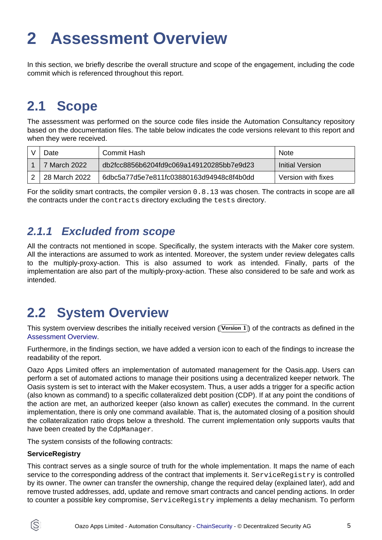# <span id="page-4-2"></span><span id="page-4-0"></span>**2 Assessment Overview**

In this section, we briefly describe the overall structure and scope of the engagement, including the code commit which is referenced throughout this report.

## <span id="page-4-1"></span>**2.1 Scope**

The assessment was performed on the source code files inside the Automation Consultancy repository based on the documentation files. The table below indicates the code versions relevant to this report and when they were received.

| ا∂ص           | Commit Hash                              | <b>Note</b>        |
|---------------|------------------------------------------|--------------------|
| 7 March 2022  | db2fcc8856b6204fd9c069a149120285bb7e9d23 | Initial Version    |
| 28 March 2022 | 6dbc5a77d5e7e811fc03880163d94948c8f4b0dd | Version with fixes |

For the solidity smart contracts, the compiler version 0.8.13 was chosen. The contracts in scope are all the contracts under the contracts directory excluding the tests directory.

### **2.1.1 Excluded from scope**

All the contracts not mentioned in scope. Specifically, the system interacts with the Maker core system. All the interactions are assumed to work as intented. Moreover, the system under review delegates calls to the multiply-proxy-action. This is also assumed to work as intended. Finally, parts of the implementation are also part of the multiply-proxy-action. These also considered to be safe and work as intended.

## **2.2 System Overview**

This system overview describes the initially received version ((Version 1)) of the contracts as defined in the [Assessment Overview](#page-4-2).

Furthermore, in the findings section, we have added a version icon to each of the findings to increase the readability of the report.

Oazo Apps Limited offers an implementation of automated management for the Oasis.app. Users can perform a set of automated actions to manage their positions using a decentralized keeper network. The Oasis system is set to interact with the Maker ecosystem. Thus, a user adds a trigger for a specific action (also known as command) to a specific collateralized debt position (CDP). If at any point the conditions of the action are met, an authorized keeper (also known as caller) executes the command. In the current implementation, there is only one command available. That is, the automated closing of a position should the collateralization ratio drops below a threshold. The current implementation only supports vaults that have been created by the CdpManager.

The system consists of the following contracts:

#### **ServiceRegistry**

IS.

This contract serves as a single source of truth for the whole implementation. It maps the name of each service to the corresponding address of the contract that implements it. ServiceRegistry is controlled by its owner. The owner can transfer the ownership, change the required delay (explained later), add and remove trusted addresses, add, update and remove smart contracts and cancel pending actions. In order to counter a possible key compromise, ServiceRegistry implements a delay mechanism. To perform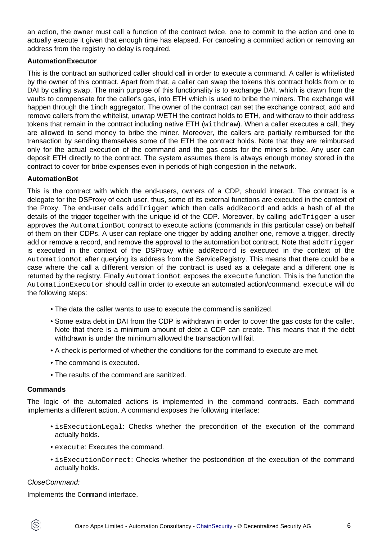an action, the owner must call a function of the contract twice, one to commit to the action and one to actually execute it given that enough time has elapsed. For canceling a commited action or removing an address from the registry no delay is required.

#### **AutomationExecutor**

This is the contract an authorized caller should call in order to execute a command. A caller is whitelisted by the owner of this contract. Apart from that, a caller can swap the tokens this contract holds from or to DAI by calling swap. The main purpose of this functionality is to exchange DAI, which is drawn from the vaults to compensate for the caller's gas, into ETH which is used to bribe the miners. The exchange will happen through the 1inch aggregator. The owner of the contract can set the exchange contract, add and remove callers from the whitelist, unwrap WETH the contract holds to ETH, and withdraw to their address tokens that remain in the contract including native ETH (withdraw). When a caller executes a call, they are allowed to send money to bribe the miner. Moreover, the callers are partially reimbursed for the transaction by sending themselves some of the ETH the contract holds. Note that they are reimbursed only for the actual execution of the command and the gas costs for the miner's bribe. Any user can deposit ETH directly to the contract. The system assumes there is always enough money stored in the contract to cover for bribe expenses even in periods of high congestion in the network.

#### **AutomationBot**

This is the contract with which the end-users, owners of a CDP, should interact. The contract is a delegate for the DSProxy of each user, thus, some of its external functions are executed in the context of the Proxy. The end-user calls addTrigger which then calls addRecord and adds a hash of all the details of the trigger together with the unique id of the CDP. Moreover, by calling addTrigger a user approves the AutomationBot contract to execute actions (commands in this particular case) on behalf of them on their CDPs. A user can replace one trigger by adding another one, remove a trigger, directly add or remove a record, and remove the approval to the automation bot contract. Note that addTrigger is executed in the context of the DSProxy while addRecord is executed in the context of the AutomationBot after querying its address from the ServiceRegistry. This means that there could be a case where the call a different version of the contract is used as a delegate and a different one is returned by the registry. Finally AutomationBot exposes the execute function. This is the function the AutomationExecutor should call in order to execute an automated action/command. execute will do the following steps:

- The data the caller wants to use to execute the command is sanitized.
- Some extra debt in DAI from the CDP is withdrawn in order to cover the gas costs for the caller. Note that there is a minimum amount of debt a CDP can create. This means that if the debt withdrawn is under the minimum allowed the transaction will fail.
- A check is performed of whether the conditions for the command to execute are met.
- The command is executed.
- The results of the command are sanitized.

#### **Commands**

The logic of the automated actions is implemented in the command contracts. Each command implements a different action. A command exposes the following interface:

- isExecutionLegal: Checks whether the precondition of the execution of the command actually holds.
- execute: Executes the command.
- isExecutionCorrect: Checks whether the postcondition of the execution of the command actually holds.

#### CloseCommand:

Implements the Command interface.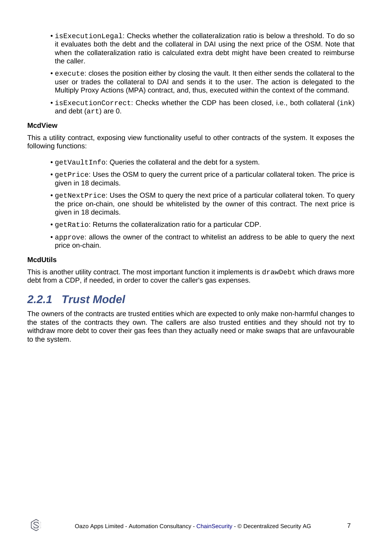- isExecutionLegal: Checks whether the collateralization ratio is below a threshold. To do so it evaluates both the debt and the collateral in DAI using the next price of the OSM. Note that when the collateralization ratio is calculated extra debt might have been created to reimburse the caller.
- execute: closes the position either by closing the vault. It then either sends the collateral to the user or trades the collateral to DAI and sends it to the user. The action is delegated to the Multiply Proxy Actions (MPA) contract, and, thus, executed within the context of the command.
- isExecutionCorrect: Checks whether the CDP has been closed, i.e., both collateral (ink) and debt (art) are 0.

#### **McdView**

This a utility contract, exposing view functionality useful to other contracts of the system. It exposes the following functions:

- getVaultInfo: Queries the collateral and the debt for a system.
- getPrice: Uses the OSM to query the current price of a particular collateral token. The price is given in 18 decimals.
- getNextPrice: Uses the OSM to query the next price of a particular collateral token. To query the price on-chain, one should be whitelisted by the owner of this contract. The next price is given in 18 decimals.
- getRatio: Returns the collateralization ratio for a particular CDP.
- approve: allows the owner of the contract to whitelist an address to be able to query the next price on-chain.

#### **McdUtils**

ÍS.

This is another utility contract. The most important function it implements is drawDebt which draws more debt from a CDP, if needed, in order to cover the caller's gas expenses.

### **2.2.1 Trust Model**

The owners of the contracts are trusted entities which are expected to only make non-harmful changes to the states of the contracts they own. The callers are also trusted entities and they should not try to withdraw more debt to cover their gas fees than they actually need or make swaps that are unfavourable to the system.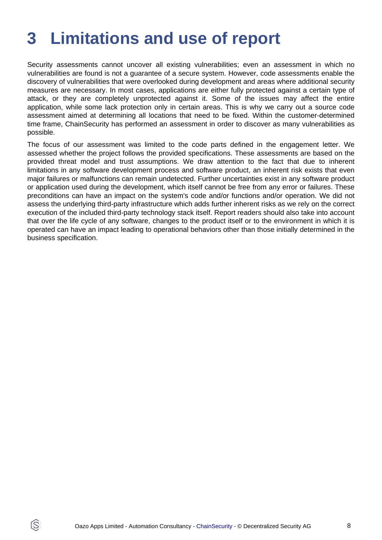## <span id="page-7-0"></span>**3 Limitations and use of report**

Security assessments cannot uncover all existing vulnerabilities; even an assessment in which no vulnerabilities are found is not a guarantee of a secure system. However, code assessments enable the discovery of vulnerabilities that were overlooked during development and areas where additional security measures are necessary. In most cases, applications are either fully protected against a certain type of attack, or they are completely unprotected against it. Some of the issues may affect the entire application, while some lack protection only in certain areas. This is why we carry out a source code assessment aimed at determining all locations that need to be fixed. Within the customer-determined time frame, ChainSecurity has performed an assessment in order to discover as many vulnerabilities as possible.

The focus of our assessment was limited to the code parts defined in the engagement letter. We assessed whether the project follows the provided specifications. These assessments are based on the provided threat model and trust assumptions. We draw attention to the fact that due to inherent limitations in any software development process and software product, an inherent risk exists that even major failures or malfunctions can remain undetected. Further uncertainties exist in any software product or application used during the development, which itself cannot be free from any error or failures. These preconditions can have an impact on the system's code and/or functions and/or operation. We did not assess the underlying third-party infrastructure which adds further inherent risks as we rely on the correct execution of the included third-party technology stack itself. Report readers should also take into account that over the life cycle of any software, changes to the product itself or to the environment in which it is operated can have an impact leading to operational behaviors other than those initially determined in the business specification.

IS.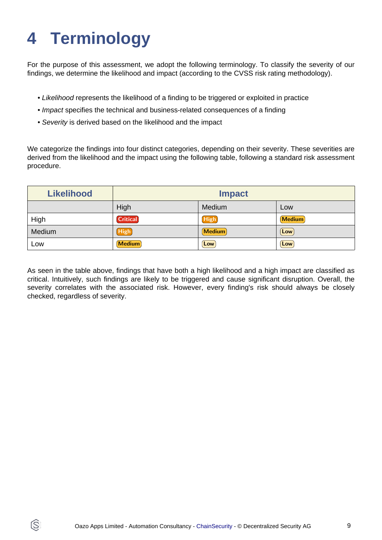# <span id="page-8-0"></span>**4 Terminology**

IS.

For the purpose of this assessment, we adopt the following terminology. To classify the severity of our findings, we determine the likelihood and impact (according to the CVSS risk rating methodology).

- Likelihood represents the likelihood of a finding to be triggered or exploited in practice
- Impact specifies the technical and business-related consequences of a finding
- Severity is derived based on the likelihood and the impact

We categorize the findings into four distinct categories, depending on their severity. These severities are derived from the likelihood and the impact using the following table, following a standard risk assessment procedure.

| <b>Likelihood</b> | <b>Impact</b>   |               |               |
|-------------------|-----------------|---------------|---------------|
|                   | High            | Medium        | Low           |
| High              | <b>Critical</b> | <b>High</b>   | <b>Medium</b> |
| Medium            | High            | <b>Medium</b> | Low           |
| Low               | <b>Medium</b>   | Low           | Low           |

As seen in the table above, findings that have both a high likelihood and a high impact are classified as critical. Intuitively, such findings are likely to be triggered and cause significant disruption. Overall, the severity correlates with the associated risk. However, every finding's risk should always be closely checked, regardless of severity.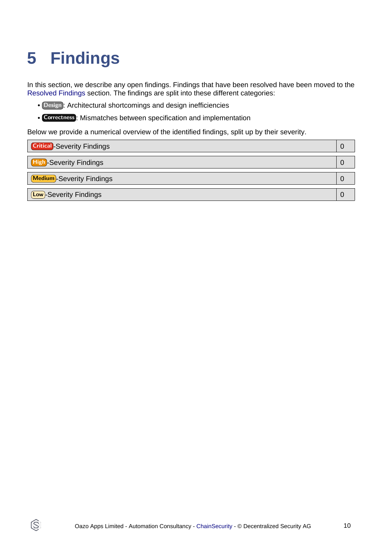# <span id="page-9-1"></span><span id="page-9-0"></span>**5 Findings**

Q

In this section, we describe any open findings. Findings that have been resolved have been moved to the [Resolved Findings](#page-10-1) section. The findings are split into these different categories:

- Design : Architectural shortcomings and design inefficiencies
- Correctness : Mismatches between specification and implementation

Below we provide a numerical overview of the identified findings, split up by their severity.

| <b>Critical</b> -Severity Findings |  |
|------------------------------------|--|
| <b>High-Severity Findings</b>      |  |
| <b>Medium</b> -Severity Findings   |  |
| <b>Low</b> -Severity Findings      |  |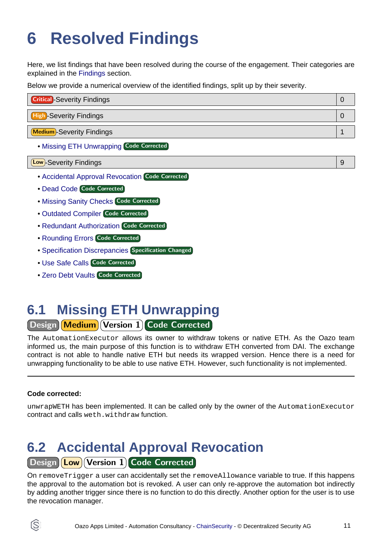# <span id="page-10-1"></span><span id="page-10-0"></span>**6 Resolved Findings**

Here, we list findings that have been resolved during the course of the engagement. Their categories are explained in the [Findings](#page-9-1) section.

Below we provide a numerical overview of the identified findings, split up by their severity.

| <b>Critical</b> -Severity Findings |  |
|------------------------------------|--|
| <b>High-Severity Findings</b>      |  |
| Medium-Severity Findings           |  |

• [Missing ETH Unwrapping](#page-10-2) Code Corrected

| Low)-Severity Findings |
|------------------------|
|                        |

- [Accidental Approval Revocation](#page-10-3) Code Corrected
- [Dead Code](#page-11-0) Code Corrected
- [Missing Sanity Checks](#page-11-1) Code Corrected
- [Outdated Compiler](#page-11-2) Code Corrected
- [Redundant Authorization](#page-12-0) Code Corrected
- [Rounding Errors](#page-12-1) Code Corrected
- **[Specification Discrepancies](#page-12-2) Specification Changed**
- [Use Safe Calls](#page-13-0) Code Corrected
- [Zero Debt Vaults](#page-13-1) Code Corrected

## <span id="page-10-2"></span>**6.1 Missing ETH Unwrapping**

Design Medium Version 1 Code Corrected

The AutomationExecutor allows its owner to withdraw tokens or native ETH. As the Oazo team informed us, the main purpose of this function is to withdraw ETH converted from DAI. The exchange contract is not able to handle native ETH but needs its wrapped version. Hence there is a need for unwrapping functionality to be able to use native ETH. However, such functionality is not implemented.

#### **Code corrected:**

unwrapWETH has been implemented. It can be called only by the owner of the AutomationExecutor contract and calls weth.withdraw function.

### <span id="page-10-3"></span>**6.2 Accidental Approval Revocation** Design (Low) Version 1 Code Corrected

On removeTrigger a user can accidentally set the removeAllowance variable to true. If this happens the approval to the automation bot is revoked. A user can only re-approve the automation bot indirectly by adding another trigger since there is no function to do this directly. Another option for the user is to use the revocation manager.

ÍŜ.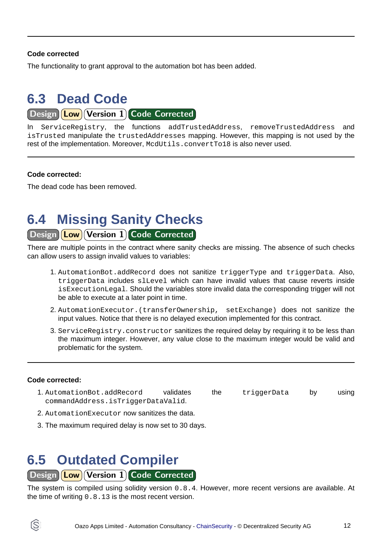#### **Code corrected**

The functionality to grant approval to the automation bot has been added.

## <span id="page-11-0"></span>**6.3 Dead Code**

Design **Low** Version 1 Code Corrected

In ServiceRegistry, the functions addTrustedAddress, removeTrustedAddress and isTrusted manipulate the trustedAddresses mapping. However, this mapping is not used by the rest of the implementation. Moreover, McdUtils.convertTo18 is also never used.

#### **Code corrected:**

The dead code has been removed.

## <span id="page-11-1"></span>**6.4 Missing Sanity Checks**

#### Design Low Version 1 Code Corrected

There are multiple points in the contract where sanity checks are missing. The absence of such checks can allow users to assign invalid values to variables:

- 1. AutomationBot.addRecord does not sanitize triggerType and triggerData. Also, triggerData includes slLevel which can have invalid values that cause reverts inside isExecutionLegal. Should the variables store invalid data the corresponding trigger will not be able to execute at a later point in time.
- 2. AutomationExecutor.(transferOwnership, setExchange) does not sanitize the input values. Notice that there is no delayed execution implemented for this contract.
- 3. ServiceRegistry.constructor sanitizes the required delay by requiring it to be less than the maximum integer. However, any value close to the maximum integer would be valid and problematic for the system.

#### **Code corrected:**

- 1. AutomationBot.addRecord validates the triggerData by using commandAddress.isTriggerDataValid.
- 2. AutomationExecutor now sanitizes the data.
- 3. The maximum required delay is now set to 30 days.

### <span id="page-11-2"></span>**6.5 Outdated Compiler**

#### Design **Low** Version 1 Code Corrected

The system is compiled using solidity version 0.8.4. However, more recent versions are available. At the time of writing 0.8.13 is the most recent version.

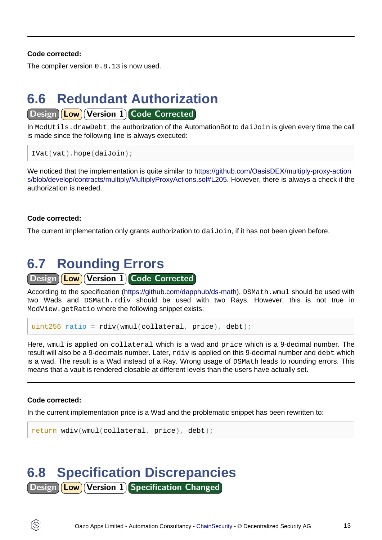#### **Code corrected:**

The compiler version 0.8.13 is now used.

### <span id="page-12-0"></span>**6.6 Redundant Authorization**

Design | Low | Version 1 Code Corrected

In McdUtils.drawDebt, the authorization of the AutomationBot to daiJoin is given every time the call is made since the following line is always executed:

```
IVat(vat).hope(daiJoin);
```
We noticed that the implementation is quite similar to [https://github.com/OasisDEX/multiply-proxy-action](https://github.com/OasisDEX/multiply-proxy-actions/blob/develop/contracts/multiply/MultiplyProxyActions.sol#L205) [s/blob/develop/contracts/multiply/MultiplyProxyActions.sol#L205.](https://github.com/OasisDEX/multiply-proxy-actions/blob/develop/contracts/multiply/MultiplyProxyActions.sol#L205) However, there is always a check if the authorization is needed.

#### **Code corrected:**

The current implementation only grants authorization to daiJoin, if it has not been given before.

## <span id="page-12-1"></span>**6.7 Rounding Errors**

#### Design **Low Version 1 Code Corrected**

According to the specification [\(https://github.com/dapphub/ds-math\)](https://github.com/dapphub/ds-math), DSMath.wmul should be used with two Wads and DSMath.rdiv should be used with two Rays. However, this is not true in McdView.getRatio where the following snippet exists:

```
uint256 ratio = rdiv(wmul(collateral, price), debt);
```
Here, wmul is applied on collateral which is a wad and price which is a 9-decimal number. The result will also be a 9-decimals number. Later, rdiv is applied on this 9-decimal number and debt which is a wad. The result is a Wad instead of a Ray. Wrong usage of DSMath leads to rounding errors. This means that a vault is rendered closable at different levels than the users have actually set.

#### **Code corrected:**

ĺS

In the current implementation price is a Wad and the problematic snippet has been rewritten to:

```
return wdiv(wmul(collateral, price), debt);
```
## <span id="page-12-2"></span>**6.8 Specification Discrepancies**

Design **Low** Version 1 Specification Changed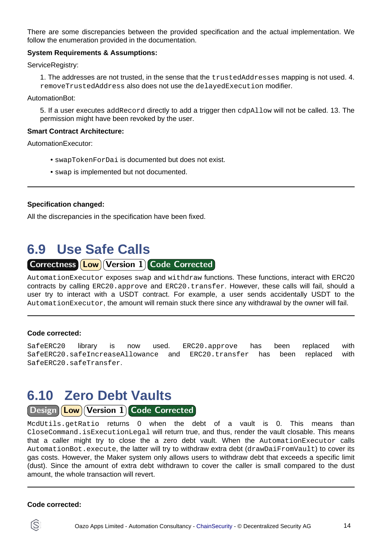There are some discrepancies between the provided specification and the actual implementation. We follow the enumeration provided in the documentation.

#### **System Requirements & Assumptions:**

ServiceRegistry:

1. The addresses are not trusted, in the sense that the trustedAddresses mapping is not used. 4. removeTrustedAddress also does not use the delayedExecution modifier.

AutomationBot:

5. If a user executes addRecord directly to add a trigger then cdpAllow will not be called. 13. The permission might have been revoked by the user.

#### **Smart Contract Architecture:**

AutomationExecutor:

- swapTokenForDai is documented but does not exist.
- swap is implemented but not documented.

#### **Specification changed:**

All the discrepancies in the specification have been fixed.

### <span id="page-13-0"></span>**6.9 Use Safe Calls**

Correctness **Low Version 1 Code Corrected** 

AutomationExecutor exposes swap and withdraw functions. These functions, interact with ERC20 contracts by calling ERC20.approve and ERC20.transfer. However, these calls will fail, should a user try to interact with a USDT contract. For example, a user sends accidentally USDT to the AutomationExecutor, the amount will remain stuck there since any withdrawal by the owner will fail.

#### **Code corrected:**

SafeERC20 library is now used. ERC20.approve has been replaced with SafeERC20.safeIncreaseAllowance and ERC20.transfer has been replaced with SafeERC20.safeTransfer.

### <span id="page-13-1"></span>**6.10 Zero Debt Vaults**

Design (Low) Version 1 Code Corrected

McdUtils.getRatio returns 0 when the debt of a vault is 0. This means than CloseCommand.isExecutionLegal will return true, and thus, render the vault closable. This means that a caller might try to close the a zero debt vault. When the AutomationExecutor calls AutomationBot.execute, the latter will try to withdraw extra debt (drawDaiFromVault) to cover its gas costs. However, the Maker system only allows users to withdraw debt that exceeds a specific limit (dust). Since the amount of extra debt withdrawn to cover the caller is small compared to the dust amount, the whole transaction will revert.

#### **Code corrected:**